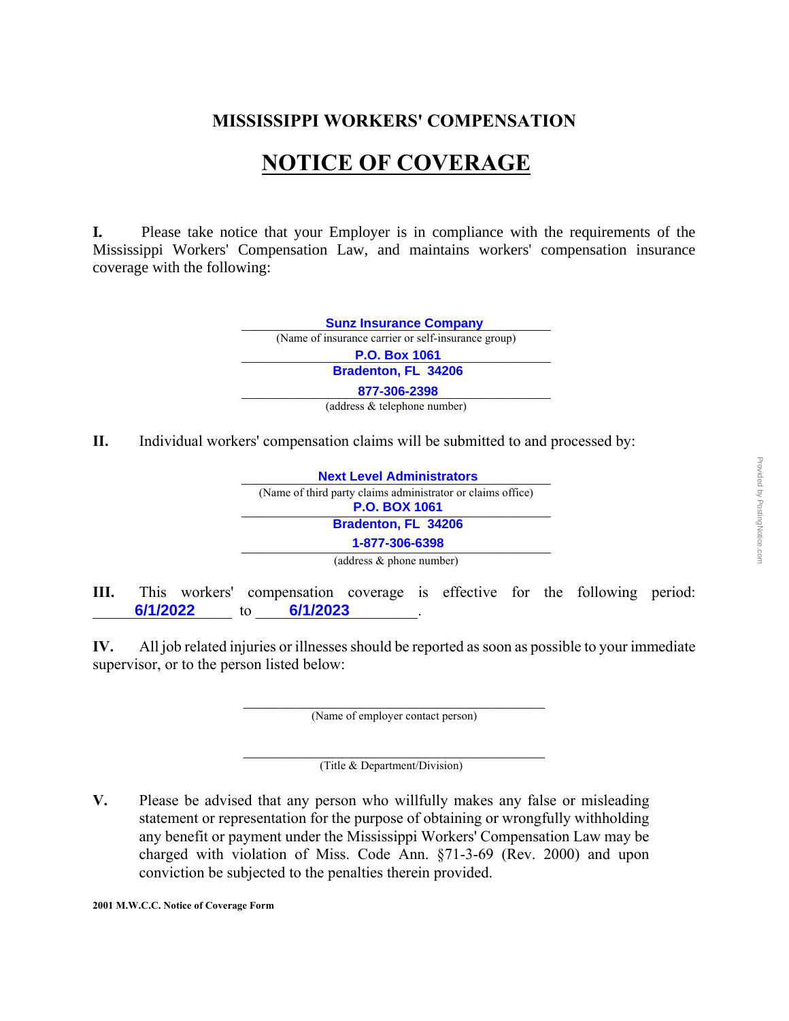## **MISSISSIPPI WORKERS' COMPENSATION**

## **NOTICE OF COVERAGE**

**I.** Please take notice that your Employer is in compliance with the requirements of the Mississippi Workers' Compensation Law, and maintains workers' compensation insurance coverage with the following:



**II.** Individual workers' compensation claims will be submitted to and processed by:

| <b>Next Level Administrators</b>                            |
|-------------------------------------------------------------|
| (Name of third party claims administrator or claims office) |
| <b>P.O. BOX 1061</b>                                        |
| Bradenton, FL 34206                                         |
| 1-877-306-6398                                              |
| (address & phone number)                                    |

**III.** This workers' compensation coverage is effective for the following period: \_\_\_\_\_\_\_\_\_\_\_\_\_\_\_\_\_\_ to \_\_\_\_\_\_\_\_\_\_\_\_\_\_\_\_\_\_\_\_\_. **6/1/2022 6/1/2023**

**IV.** All job related injuries or illnesses should be reported as soon as possible to your immediate supervisor, or to the person listed below:

> $\mathcal{L}_\text{max}$  and  $\mathcal{L}_\text{max}$  and  $\mathcal{L}_\text{max}$  and  $\mathcal{L}_\text{max}$ (Name of employer contact person)

> $\mathcal{L}_\text{max}$ (Title & Department/Division)

**V.** Please be advised that any person who willfully makes any false or misleading statement or representation for the purpose of obtaining or wrongfully withholding any benefit or payment under the Mississippi Workers' Compensation Law may be charged with violation of Miss. Code Ann. §71-3-69 (Rev. 2000) and upon conviction be subjected to the penalties therein provided.

**2001 M.W.C.C. Notice of Coverage Form**